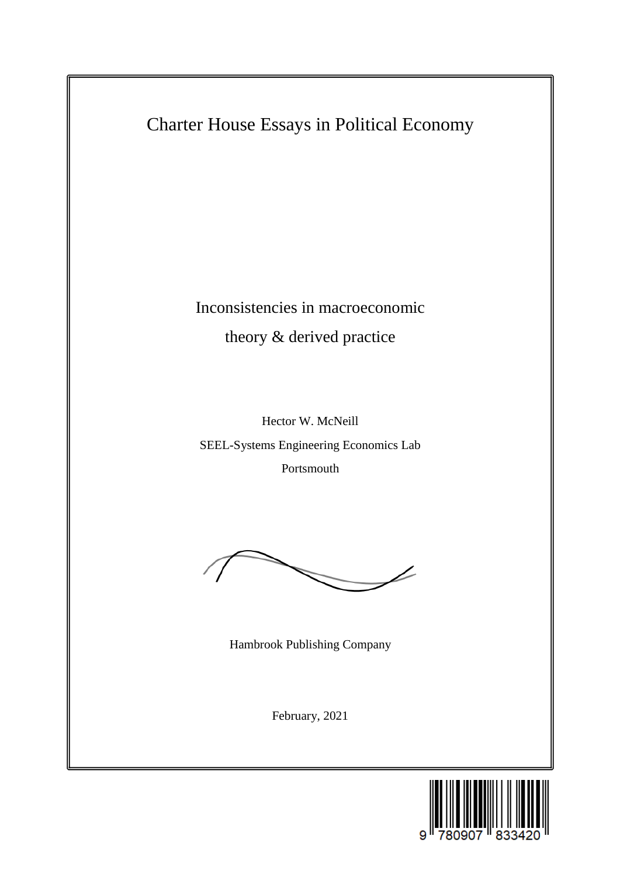Charter House Essays in Political Economy

Inconsistencies in macroeconomic theory & derived practice

Hector W. McNeill SEEL-Systems Engineering Economics Lab Portsmouth



Hambrook Publishing Company

February, 2021

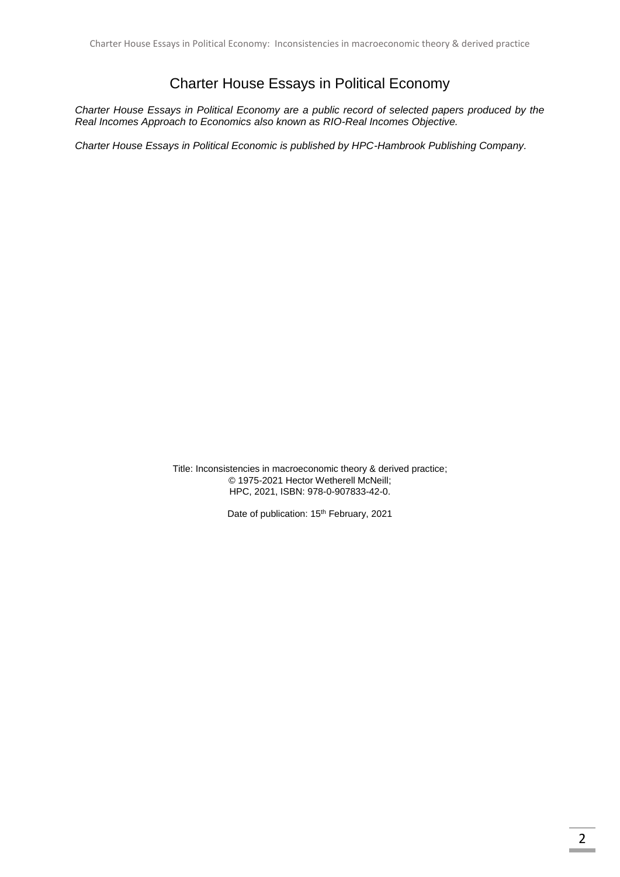# Charter House Essays in Political Economy

*Charter House Essays in Political Economy are a public record of selected papers produced by the Real Incomes Approach to Economics also known as RIO-Real Incomes Objective.*

*Charter House Essays in Political Economic is published by HPC-Hambrook Publishing Company.*

Title: Inconsistencies in macroeconomic theory & derived practice; © 1975-2021 Hector Wetherell McNeill; HPC, 2021, ISBN: 978-0-907833-42-0.

Date of publication: 15<sup>th</sup> February, 2021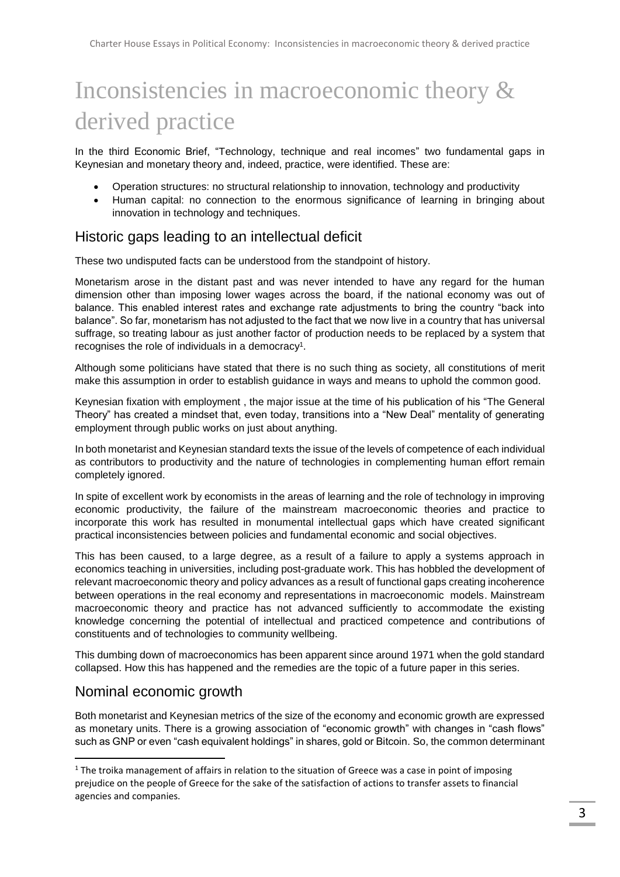# Inconsistencies in macroeconomic theory & derived practice

In the third Economic Brief, "Technology, technique and real incomes" two fundamental gaps in Keynesian and monetary theory and, indeed, practice, were identified. These are:

- Operation structures: no structural relationship to innovation, technology and productivity
- Human capital: no connection to the enormous significance of learning in bringing about innovation in technology and techniques.

# Historic gaps leading to an intellectual deficit

These two undisputed facts can be understood from the standpoint of history.

Monetarism arose in the distant past and was never intended to have any regard for the human dimension other than imposing lower wages across the board, if the national economy was out of balance. This enabled interest rates and exchange rate adjustments to bring the country "back into balance". So far, monetarism has not adjusted to the fact that we now live in a country that has universal suffrage, so treating labour as just another factor of production needs to be replaced by a system that recognises the role of individuals in a democracy<sup>1</sup>.

Although some politicians have stated that there is no such thing as society, all constitutions of merit make this assumption in order to establish guidance in ways and means to uphold the common good.

Keynesian fixation with employment , the major issue at the time of his publication of his "The General Theory" has created a mindset that, even today, transitions into a "New Deal" mentality of generating employment through public works on just about anything.

In both monetarist and Keynesian standard texts the issue of the levels of competence of each individual as contributors to productivity and the nature of technologies in complementing human effort remain completely ignored.

In spite of excellent work by economists in the areas of learning and the role of technology in improving economic productivity, the failure of the mainstream macroeconomic theories and practice to incorporate this work has resulted in monumental intellectual gaps which have created significant practical inconsistencies between policies and fundamental economic and social objectives.

This has been caused, to a large degree, as a result of a failure to apply a systems approach in economics teaching in universities, including post-graduate work. This has hobbled the development of relevant macroeconomic theory and policy advances as a result of functional gaps creating incoherence between operations in the real economy and representations in macroeconomic models. Mainstream macroeconomic theory and practice has not advanced sufficiently to accommodate the existing knowledge concerning the potential of intellectual and practiced competence and contributions of constituents and of technologies to community wellbeing.

This dumbing down of macroeconomics has been apparent since around 1971 when the gold standard collapsed. How this has happened and the remedies are the topic of a future paper in this series.

# Nominal economic growth

**.** 

Both monetarist and Keynesian metrics of the size of the economy and economic growth are expressed as monetary units. There is a growing association of "economic growth" with changes in "cash flows" such as GNP or even "cash equivalent holdings" in shares, gold or Bitcoin. So, the common determinant

 $1$  The troika management of affairs in relation to the situation of Greece was a case in point of imposing prejudice on the people of Greece for the sake of the satisfaction of actions to transfer assets to financial agencies and companies.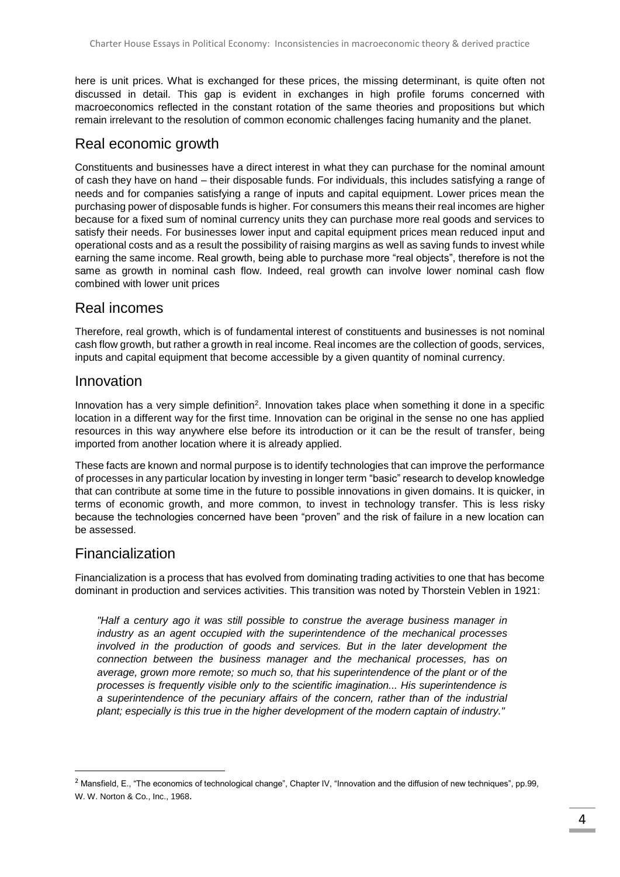here is unit prices. What is exchanged for these prices, the missing determinant, is quite often not discussed in detail. This gap is evident in exchanges in high profile forums concerned with macroeconomics reflected in the constant rotation of the same theories and propositions but which remain irrelevant to the resolution of common economic challenges facing humanity and the planet.

#### Real economic growth

Constituents and businesses have a direct interest in what they can purchase for the nominal amount of cash they have on hand – their disposable funds. For individuals, this includes satisfying a range of needs and for companies satisfying a range of inputs and capital equipment. Lower prices mean the purchasing power of disposable funds is higher. For consumers this means their real incomes are higher because for a fixed sum of nominal currency units they can purchase more real goods and services to satisfy their needs. For businesses lower input and capital equipment prices mean reduced input and operational costs and as a result the possibility of raising margins as well as saving funds to invest while earning the same income. Real growth, being able to purchase more "real objects", therefore is not the same as growth in nominal cash flow. Indeed, real growth can involve lower nominal cash flow combined with lower unit prices

# Real incomes

Therefore, real growth, which is of fundamental interest of constituents and businesses is not nominal cash flow growth, but rather a growth in real income. Real incomes are the collection of goods, services, inputs and capital equipment that become accessible by a given quantity of nominal currency.

#### Innovation

Innovation has a very simple definition<sup>2</sup>. Innovation takes place when something it done in a specific location in a different way for the first time. Innovation can be original in the sense no one has applied resources in this way anywhere else before its introduction or it can be the result of transfer, being imported from another location where it is already applied.

These facts are known and normal purpose is to identify technologies that can improve the performance of processes in any particular location by investing in longer term "basic" research to develop knowledge that can contribute at some time in the future to possible innovations in given domains. It is quicker, in terms of economic growth, and more common, to invest in technology transfer. This is less risky because the technologies concerned have been "proven" and the risk of failure in a new location can be assessed.

# Financialization

 $\overline{a}$ 

Financialization is a process that has evolved from dominating trading activities to one that has become dominant in production and services activities. This transition was noted by Thorstein Veblen in 1921:

*"Half a century ago it was still possible to construe the average business manager in industry as an agent occupied with the superintendence of the mechanical processes involved in the production of goods and services. But in the later development the connection between the business manager and the mechanical processes, has on average, grown more remote; so much so, that his superintendence of the plant or of the processes is frequently visible only to the scientific imagination... His superintendence is a superintendence of the pecuniary affairs of the concern, rather than of the industrial plant; especially is this true in the higher development of the modern captain of industry."*

<sup>&</sup>lt;sup>2</sup> Mansfield, E., "The economics of technological change", Chapter IV, "Innovation and the diffusion of new techniques", pp.99, W. W. Norton & Co., Inc., 1968.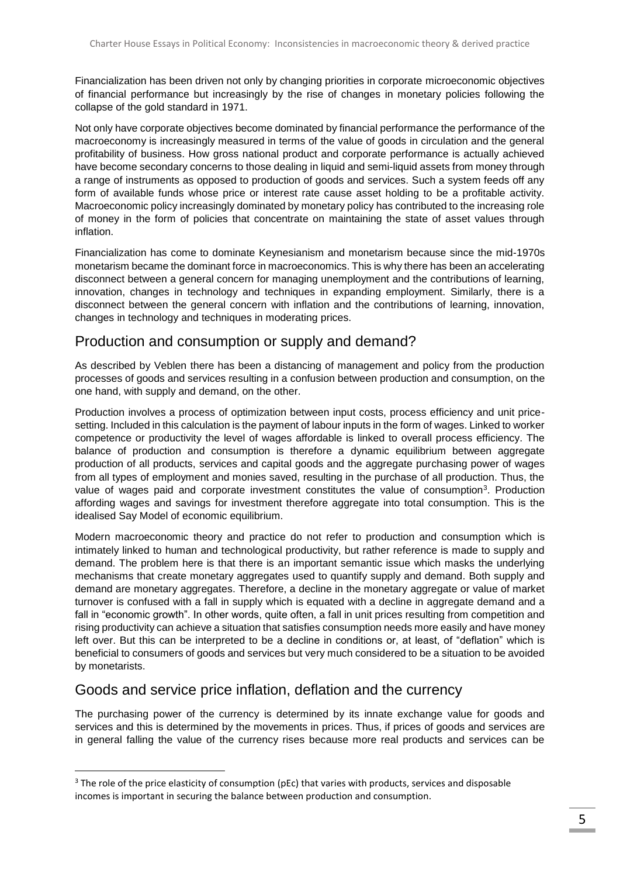Financialization has been driven not only by changing priorities in corporate microeconomic objectives of financial performance but increasingly by the rise of changes in monetary policies following the collapse of the gold standard in 1971.

Not only have corporate objectives become dominated by financial performance the performance of the macroeconomy is increasingly measured in terms of the value of goods in circulation and the general profitability of business. How gross national product and corporate performance is actually achieved have become secondary concerns to those dealing in liquid and semi-liquid assets from money through a range of instruments as opposed to production of goods and services. Such a system feeds off any form of available funds whose price or interest rate cause asset holding to be a profitable activity. Macroeconomic policy increasingly dominated by monetary policy has contributed to the increasing role of money in the form of policies that concentrate on maintaining the state of asset values through inflation.

Financialization has come to dominate Keynesianism and monetarism because since the mid-1970s monetarism became the dominant force in macroeconomics. This is why there has been an accelerating disconnect between a general concern for managing unemployment and the contributions of learning, innovation, changes in technology and techniques in expanding employment. Similarly, there is a disconnect between the general concern with inflation and the contributions of learning, innovation, changes in technology and techniques in moderating prices.

# Production and consumption or supply and demand?

As described by Veblen there has been a distancing of management and policy from the production processes of goods and services resulting in a confusion between production and consumption, on the one hand, with supply and demand, on the other.

Production involves a process of optimization between input costs, process efficiency and unit pricesetting. Included in this calculation is the payment of labour inputs in the form of wages. Linked to worker competence or productivity the level of wages affordable is linked to overall process efficiency. The balance of production and consumption is therefore a dynamic equilibrium between aggregate production of all products, services and capital goods and the aggregate purchasing power of wages from all types of employment and monies saved, resulting in the purchase of all production. Thus, the value of wages paid and corporate investment constitutes the value of consumption<sup>3</sup>. Production affording wages and savings for investment therefore aggregate into total consumption. This is the idealised Say Model of economic equilibrium.

Modern macroeconomic theory and practice do not refer to production and consumption which is intimately linked to human and technological productivity, but rather reference is made to supply and demand. The problem here is that there is an important semantic issue which masks the underlying mechanisms that create monetary aggregates used to quantify supply and demand. Both supply and demand are monetary aggregates. Therefore, a decline in the monetary aggregate or value of market turnover is confused with a fall in supply which is equated with a decline in aggregate demand and a fall in "economic growth". In other words, quite often, a fall in unit prices resulting from competition and rising productivity can achieve a situation that satisfies consumption needs more easily and have money left over. But this can be interpreted to be a decline in conditions or, at least, of "deflation" which is beneficial to consumers of goods and services but very much considered to be a situation to be avoided by monetarists.

# Goods and service price inflation, deflation and the currency

 $\overline{a}$ 

The purchasing power of the currency is determined by its innate exchange value for goods and services and this is determined by the movements in prices. Thus, if prices of goods and services are in general falling the value of the currency rises because more real products and services can be

 $3$  The role of the price elasticity of consumption (pEc) that varies with products, services and disposable incomes is important in securing the balance between production and consumption.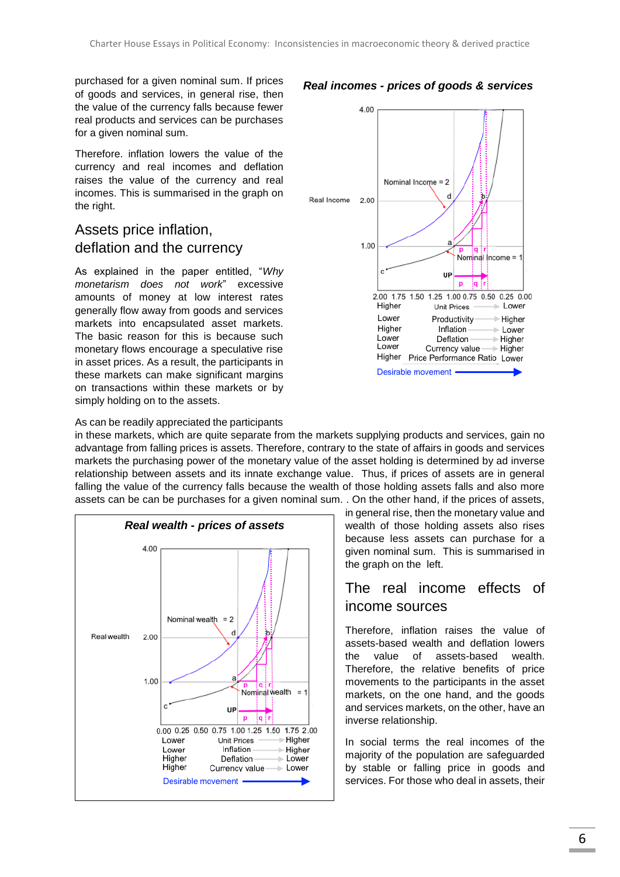purchased for a given nominal sum. If prices of goods and services, in general rise, then the value of the currency falls because fewer real products and services can be purchases for a given nominal sum.

Therefore. inflation lowers the value of the currency and real incomes and deflation raises the value of the currency and real incomes. This is summarised in the graph on the right.

# Assets price inflation, deflation and the currency

As explained in the paper entitled, "*Why monetarism does not work*" excessive amounts of money at low interest rates generally flow away from goods and services markets into encapsulated asset markets. The basic reason for this is because such monetary flows encourage a speculative rise in asset prices. As a result, the participants in these markets can make significant margins on transactions within these markets or by simply holding on to the assets.



#### As can be readily appreciated the participants

in these markets, which are quite separate from the markets supplying products and services, gain no advantage from falling prices is assets. Therefore, contrary to the state of affairs in goods and services markets the purchasing power of the monetary value of the asset holding is determined by ad inverse relationship between assets and its innate exchange value. Thus, if prices of assets are in general falling the value of the currency falls because the wealth of those holding assets falls and also more assets can be can be purchases for a given nominal sum. . On the other hand, if the prices of assets,



in general rise, then the monetary value and wealth of those holding assets also rises because less assets can purchase for a given nominal sum. This is summarised in the graph on the left.

# The real income effects of income sources

Therefore, inflation raises the value of assets-based wealth and deflation lowers the value of assets-based wealth. Therefore, the relative benefits of price movements to the participants in the asset markets, on the one hand, and the goods and services markets, on the other, have an inverse relationship.

In social terms the real incomes of the majority of the population are safeguarded by stable or falling price in goods and services. For those who deal in assets, their